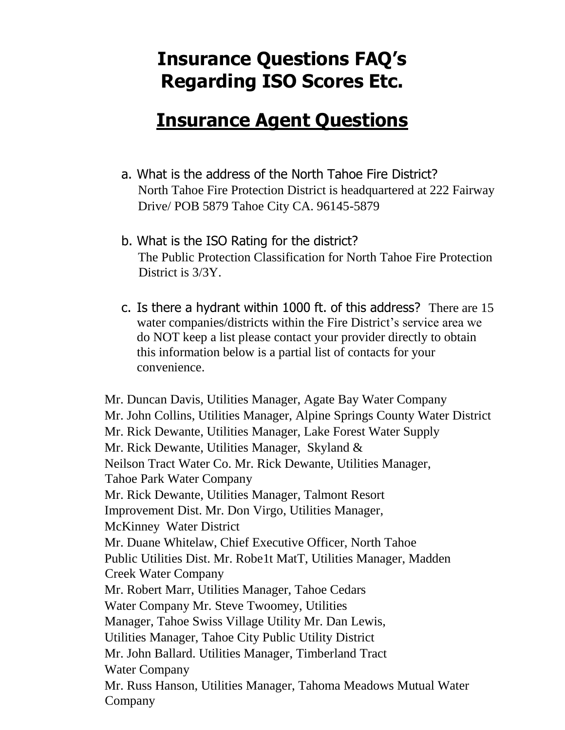## **Insurance Questions FAQ's Regarding ISO Scores Etc.**

## **Insurance Agent Questions**

- a. What is the address of the North Tahoe Fire District? North Tahoe Fire Protection District is headquartered at 222 Fairway Drive/ POB 5879 Tahoe City CA. 96145-5879
- b. What is the ISO Rating for the district? The Public Protection Classification for North Tahoe Fire Protection District is 3/3Y.
- c. Is there a hydrant within 1000 ft. of this address? There are 15 water companies/districts within the Fire District's service area we do NOT keep a list please contact your provider directly to obtain this information below is a partial list of contacts for your convenience.

Mr. Duncan Davis, Utilities Manager, Agate Bay Water Company Mr. John Collins, Utilities Manager, Alpine Springs County Water District Mr. Rick Dewante, Utilities Manager, Lake Forest Water Supply Mr. Rick Dewante, Utilities Manager, Skyland & Neilson Tract Water Co. Mr. Rick Dewante, Utilities Manager, Tahoe Park Water Company Mr. Rick Dewante, Utilities Manager, Talmont Resort Improvement Dist. Mr. Don Virgo, Utilities Manager, McKinney Water District Mr. Duane Whitelaw, Chief Executive Officer, North Tahoe Public Utilities Dist. Mr. Robe1t MatT, Utilities Manager, Madden Creek Water Company Mr. Robert Marr, Utilities Manager, Tahoe Cedars Water Company Mr. Steve Twoomey, Utilities Manager, Tahoe Swiss Village Utility Mr. Dan Lewis, Utilities Manager, Tahoe City Public Utility District Mr. John Ballard. Utilities Manager, Timberland Tract Water Company Mr. Russ Hanson, Utilities Manager, Tahoma Meadows Mutual Water Company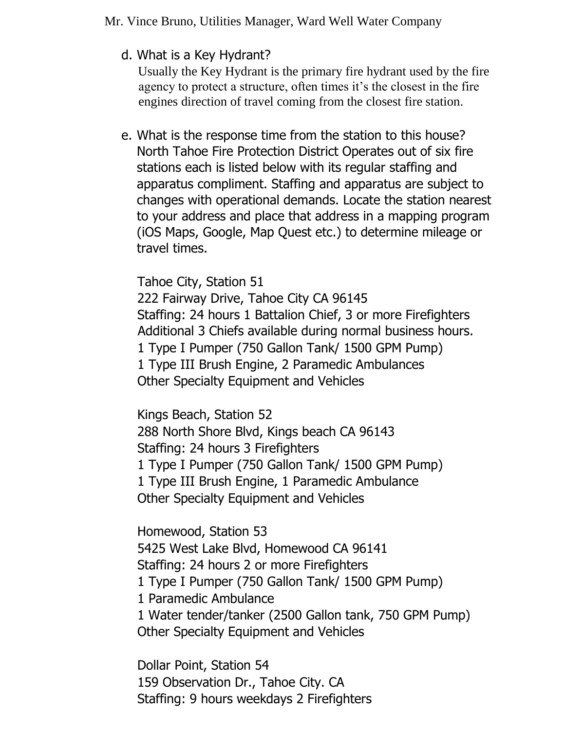d. What is a Key Hydrant?

Usually the Key Hydrant is the primary fire hydrant used by the fire agency to protect a structure, often times it's the closest in the fire engines direction of travel coming from the closest fire station.

e. What is the response time from the station to this house? North Tahoe Fire Protection District Operates out of six fire stations each is listed below with its regular staffing and apparatus compliment. Staffing and apparatus are subject to changes with operational demands. Locate the station nearest to your address and place that address in a mapping program (iOS Maps, Google, Map Quest etc.) to determine mileage or travel times.

Tahoe City, Station 51 222 Fairway Drive, Tahoe City CA 96145 Staffing: 24 hours 1 Battalion Chief, 3 or more Firefighters Additional 3 Chiefs available during normal business hours. 1 Type I Pumper (750 Gallon Tank/ 1500 GPM Pump) 1 Type III Brush Engine, 2 Paramedic Ambulances Other Specialty Equipment and Vehicles

Kings Beach, Station 52 288 North Shore Blvd, Kings beach CA 96143 Staffing: 24 hours 3 Firefighters 1 Type I Pumper (750 Gallon Tank/ 1500 GPM Pump) 1 Type III Brush Engine, 1 Paramedic Ambulance Other Specialty Equipment and Vehicles

Homewood, Station 53 5425 West Lake Blvd, Homewood CA 96141 Staffing: 24 hours 2 or more Firefighters 1 Type I Pumper (750 Gallon Tank/ 1500 GPM Pump) 1 Paramedic Ambulance 1 Water tender/tanker (2500 Gallon tank, 750 GPM Pump) Other Specialty Equipment and Vehicles

Dollar Point, Station 54 159 Observation Dr., Tahoe City. CA Staffing: 9 hours weekdays 2 Firefighters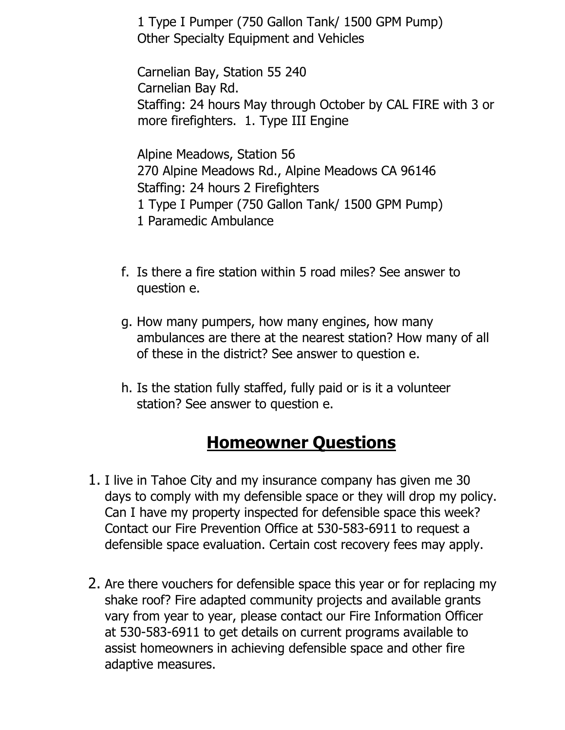1 Type I Pumper (750 Gallon Tank/ 1500 GPM Pump) Other Specialty Equipment and Vehicles

Carnelian Bay, Station 55 240 Carnelian Bay Rd. Staffing: 24 hours May through October by CAL FIRE with 3 or more firefighters. 1. Type III Engine

Alpine Meadows, Station 56 270 Alpine Meadows Rd., Alpine Meadows CA 96146 Staffing: 24 hours 2 Firefighters 1 Type I Pumper (750 Gallon Tank/ 1500 GPM Pump) 1 Paramedic Ambulance

- f. Is there a fire station within 5 road miles? See answer to question e.
- g. How many pumpers, how many engines, how many ambulances are there at the nearest station? How many of all of these in the district? See answer to question e.
- h. Is the station fully staffed, fully paid or is it a volunteer station? See answer to question e.

## **Homeowner Questions**

- 1. I live in Tahoe City and my insurance company has given me 30 days to comply with my defensible space or they will drop my policy. Can I have my property inspected for defensible space this week? Contact our Fire Prevention Office at 530-583-6911 to request a defensible space evaluation. Certain cost recovery fees may apply.
- 2. Are there vouchers for defensible space this year or for replacing my shake roof? Fire adapted community projects and available grants vary from year to year, please contact our Fire Information Officer at 530-583-6911 to get details on current programs available to assist homeowners in achieving defensible space and other fire adaptive measures.